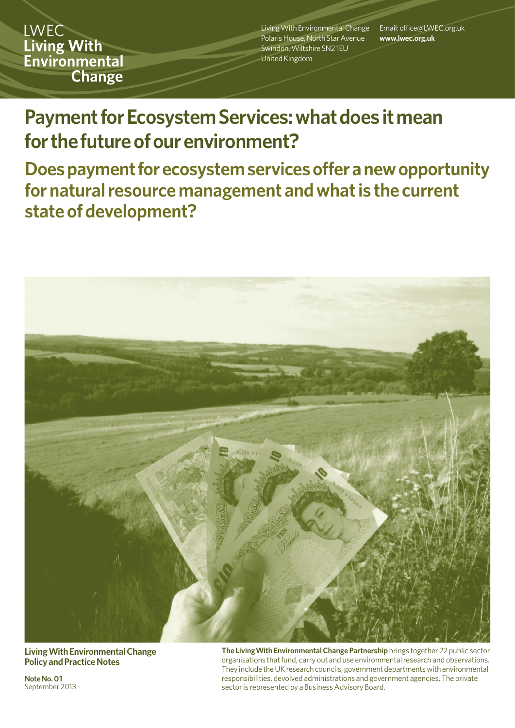**LWEC Living With** Environmental **Change** 

Living With Environmental Change Polaris House, North Star Avenue Swindon, Wiltshire SN2 1EU United Kingdom

Email: office@LWEC.org.uk **www.lwec.org.uk**

# **Payment for Ecosystem Services: what does it mean for the future of our environment?**

**Does payment for ecosystem services offer a new opportunity for natural resource management and what is the current state of development?**



**Living With Environmental Change Policy and Practice Notes**

**Note No. 01**  September 2013 **The LivingWith Environmental Change Partnership** brings together 22 public sector organisations that fund, carry out and use environmental research and observations. They include the UK research councils, government departments with environmental responsibilities, devolved administrations and government agencies. The private sector is represented by a Business Advisory Board.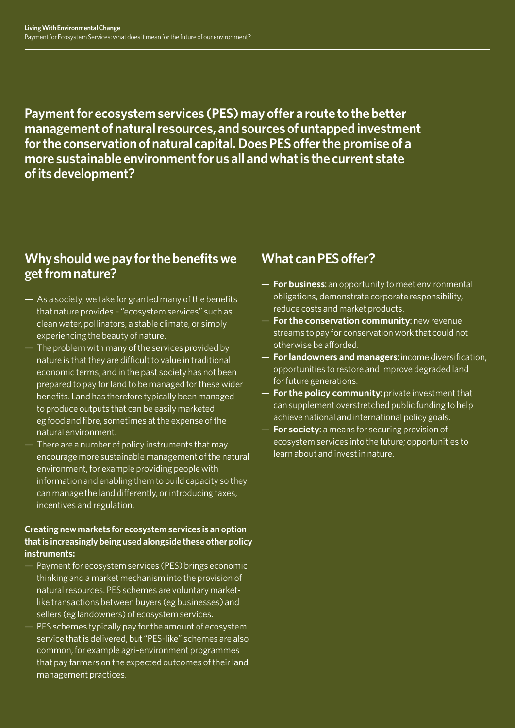**Payment for ecosystem services (PES) may offer a route to the better management of natural resources, and sources of untapped investment for the conservation of natural capital. Does PES offer the promise of a more sustainable environment for us all and what is the current state of its development?** 

### **Why should we pay for the benefits we get from nature?**

- As a society, we take for granted many of the benefits that nature provides – "ecosystem services" such as clean water, pollinators, a stable climate, or simply experiencing the beauty of nature.
- The problem with many of the services provided by nature is that they are difficult to value in traditional economic terms, and in the past society has not been prepared to pay for land to be managed for these wider benefits. Land has therefore typically been managed to produce outputs that can be easily marketed eg food and fibre, sometimes at the expense of the natural environment.
- There are a number of policy instruments that may encourage more sustainable management of the natural environment, for example providing people with information and enabling them to build capacity so they can manage the land differently, or introducing taxes, incentives and regulation.

#### **Creating new markets for ecosystem services is an option that is increasingly being used alongside these other policy instruments:**

- Payment for ecosystem services (PES) brings economic thinking and a market mechanism into the provision of natural resources. PES schemes are voluntary marketlike transactions between buyers (eg businesses) and sellers (eg landowners) of ecosystem services.
- PES schemes typically pay for the amount of ecosystem service that is delivered, but "PES-like" schemes are also common, for example agri-environment programmes that pay farmers on the expected outcomes of their land management practices.

### **What can PES offer?**

- **For business:** an opportunity to meet environmental obligations, demonstrate corporate responsibility, reduce costs and market products.
- **For the conservation community:** new revenue streams to pay for conservation work that could not otherwise be afforded.
- **For landowners and managers:** income diversification, opportunities to restore and improve degraded land for future generations.
- **For the policy community:** private investment that can supplement overstretched public funding to help achieve national and international policy goals.
- **For society:** a means for securing provision of ecosystem services into the future; opportunities to learn about and invest in nature.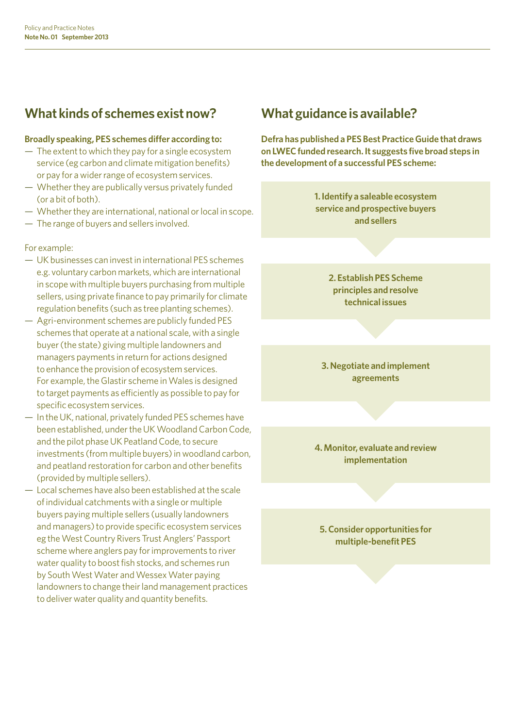### **What kinds of schemes exist now?**

#### **Broadly speaking, PES schemes differ according to:**

- The extent to which they pay for a single ecosystem service (eg carbon and climate mitigation benefits) or pay for a wider range of ecosystem services.
- Whether they are publically versus privately funded (or a bit of both).
- Whether they are international, national or local in scope.
- The range of buyers and sellers involved.

#### For example:

- UK businesses can invest in international PES schemes e.g. voluntary carbon markets, which are international in scope with multiple buyers purchasing from multiple sellers, using private finance to pay primarily for climate regulation benefits (such as tree planting schemes).
- Agri-environment schemes are publicly funded PES schemes that operate at a national scale, with a single buyer (the state) giving multiple landowners and managers payments in return for actions designed to enhance the provision of ecosystem services. For example, the Glastir scheme in Wales is designed to target payments as efficiently as possible to pay for specific ecosystem services.
- In the UK, national, privately funded PES schemes have been established, under the UK Woodland Carbon Code, and the pilot phase UK Peatland Code, to secure investments (from multiple buyers) in woodland carbon, and peatland restoration for carbon and other benefits (provided by multiple sellers).
- Local schemes have also been established at the scale of individual catchments with a single or multiple buyers paying multiple sellers (usually landowners and managers) to provide specific ecosystem services eg the West Country Rivers Trust Anglers' Passport scheme where anglers pay for improvements to river water quality to boost fish stocks, and schemes run by South West Water and Wessex Water paying landowners to change their land management practices to deliver water quality and quantity benefits.

### **What guidance is available?**

**Defra has published a PES Best Practice Guide that draws on LWEC funded research. It suggests five broad steps in the development of a successful PES scheme:** 

> **1. Identify a saleable ecosystem service and prospective buyers and sellers**

> > **2. Establish PES Scheme principles and resolve technical issues**

**3. Negotiate and implement agreements**

**4. Monitor, evaluate and review implementation**

**5. Consider opportunities for multiple-benefit PES**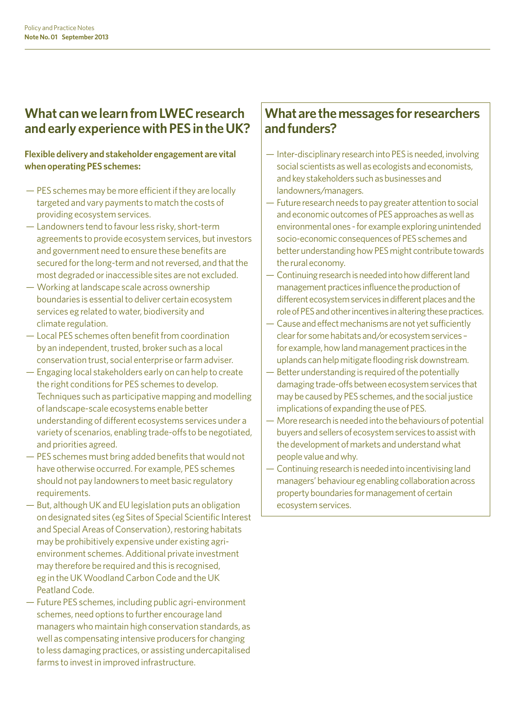#### **What can we learn from LWEC research and early experience with PES in the UK?**

#### **Flexible delivery and stakeholder engagement are vital when operating PES schemes:**

- PES schemes may be more efficient if they are locally targeted and vary payments to match the costs of providing ecosystem services.
- Landowners tend to favour less risky, short-term agreements to provide ecosystem services, but investors and government need to ensure these benefits are secured for the long-term and not reversed, and that the most degraded or inaccessible sites are not excluded.
- Working at landscape scale across ownership boundaries is essential to deliver certain ecosystem services eg related to water, biodiversity and climate regulation.
- Local PES schemes often benefit from coordination by an independent, trusted, broker such as a local conservation trust, social enterprise or farm adviser.
- Engaging local stakeholders early on can help to create the right conditions for PES schemes to develop. Techniques such as participative mapping and modelling of landscape-scale ecosystems enable better understanding of different ecosystems services under a variety of scenarios, enabling trade-offs to be negotiated, and priorities agreed.
- PES schemes must bring added benefits that would not have otherwise occurred. For example, PES schemes should not pay landowners to meet basic regulatory requirements.
- But, although UK and EU legislation puts an obligation on designated sites (eg Sites of Special Scientific Interest and Special Areas of Conservation), restoring habitats may be prohibitively expensive under existing agrienvironment schemes. Additional private investment may therefore be required and this is recognised, eg in the UK Woodland Carbon Code and the UK Peatland Code.
- Future PES schemes, including public agri-environment schemes, need options to further encourage land managers who maintain high conservation standards, as well as compensating intensive producers for changing to less damaging practices, or assisting undercapitalised farms to invest in improved infrastructure.

#### **What are the messages for researchers and funders?**

- Inter-disciplinary research into PES is needed, involving social scientists as well as ecologists and economists, and key stakeholders such as businesses and landowners/managers.
- Future research needs to pay greater attention to social and economic outcomes of PES approaches as well as environmental ones - for example exploring unintended socio-economic consequences of PES schemes and better understanding how PES might contribute towards the rural economy.
- Continuing research is needed into how different land management practices influence the production of different ecosystem services in different places and the role of PES and other incentives in altering these practices.
- Cause and effect mechanisms are not yet sufficiently clear for some habitats and/or ecosystem services – for example, how land management practices in the uplands can help mitigate flooding risk downstream.
- Better understanding is required of the potentially damaging trade-offs between ecosystem services that may be caused by PES schemes, and the social justice implications of expanding the use of PES.
- More research is needed into the behaviours of potential buyers and sellers of ecosystem services to assist with the development of markets and understand what people value and why.
- Continuing research is needed into incentivising land managers' behaviour eg enabling collaboration across property boundaries for management of certain ecosystem services.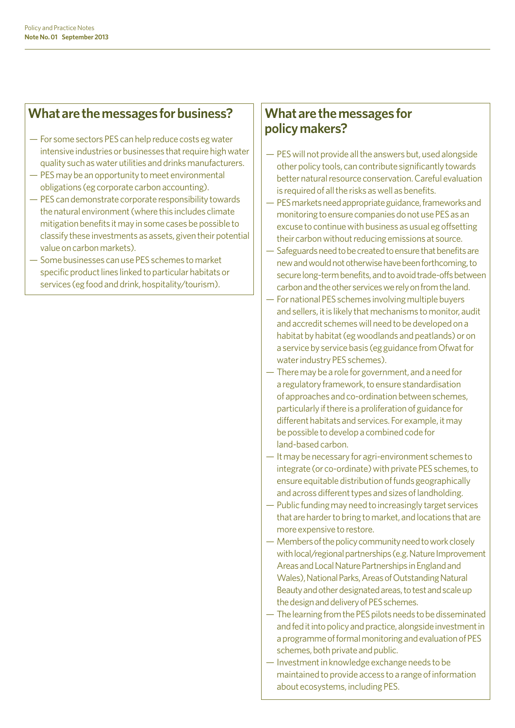#### **What are the messages for business?**

- For some sectors PES can help reduce costs eg water intensive industries or businesses that require high water quality such as water utilities and drinks manufacturers.
- PES may be an opportunity to meet environmental obligations (eg corporate carbon accounting).
- PES can demonstrate corporate responsibility towards the natural environment (where this includes climate mitigation benefits it may in some cases be possible to classify these investments as assets, given their potential value on carbon markets).
- Some businesses can use PES schemes to market specific product lines linked to particular habitats or services (eg food and drink, hospitality/tourism).

#### **What are the messages for policy makers?**

- PES will not provide all the answers but, used alongside other policy tools, can contribute significantly towards better natural resource conservation. Careful evaluation is required of all the risks as well as benefits.
- PES markets need appropriate guidance, frameworks and monitoring to ensure companies do not use PES as an excuse to continue with business as usual eg offsetting their carbon without reducing emissions at source.
- Safeguards need to be created to ensure that benefits are new and would not otherwise have been forthcoming, to secure long-term benefits, and to avoid trade-offs between carbon and the other services we rely on from the land.
- For national PES schemes involving multiple buyers and sellers, it is likely that mechanisms to monitor, audit and accredit schemes will need to be developed on a habitat by habitat (eg woodlands and peatlands) or on a service by service basis (eg guidance from Ofwat for water industry PES schemes).
- There may be a role for government, and a need for a regulatory framework, to ensure standardisation of approaches and co-ordination between schemes, particularly if there is a proliferation of guidance for different habitats and services. For example, it may be possible to develop a combined code for land-based carbon.
- It may be necessary for agri-environment schemes to integrate (or co-ordinate) with private PES schemes, to ensure equitable distribution of funds geographically and across different types and sizes of landholding.
- Public funding may need to increasingly target services that are harder to bring to market, and locations that are more expensive to restore.
- Members of the policy community need to work closely with local/regional partnerships (e.g. Nature Improvement Areas and Local Nature Partnerships in England and Wales), National Parks, Areas of Outstanding Natural Beauty and other designated areas, to test and scale up the design and delivery of PES schemes.
- The learning from the PES pilots needs to be disseminated and fed it into policy and practice, alongside investment in a programme of formal monitoring and evaluation of PES schemes, both private and public.
- Investment in knowledge exchange needs to be maintained to provide access to a range of information about ecosystems, including PES.